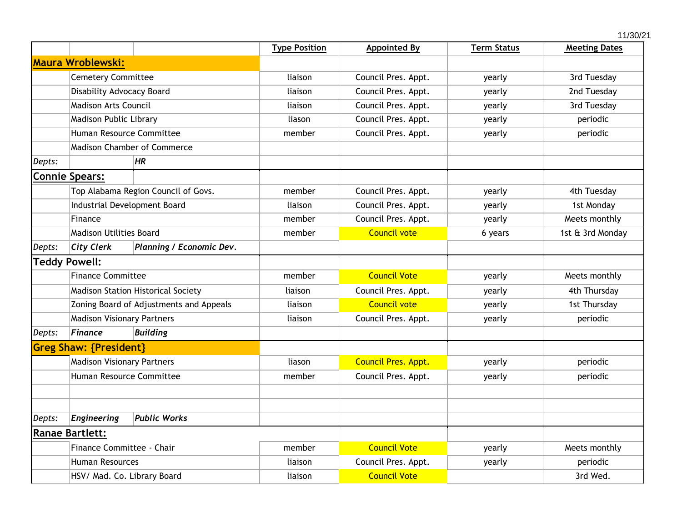|        |                                           |                                |                      |                            |                    | 11/30/21             |  |
|--------|-------------------------------------------|--------------------------------|----------------------|----------------------------|--------------------|----------------------|--|
|        |                                           |                                | <b>Type Position</b> | <b>Appointed By</b>        | <b>Term Status</b> | <b>Meeting Dates</b> |  |
|        | <b>Maura Wroblewski:</b>                  |                                |                      |                            |                    |                      |  |
|        | <b>Cemetery Committee</b>                 |                                | liaison              | Council Pres. Appt.        | yearly             | 3rd Tuesday          |  |
|        | Disability Advocacy Board                 |                                | liaison              | Council Pres. Appt.        | yearly             | 2nd Tuesday          |  |
|        | <b>Madison Arts Council</b>               |                                | liaison              | Council Pres. Appt.        | yearly             | 3rd Tuesday          |  |
|        | Madison Public Library                    |                                | liason               | Council Pres. Appt.        | yearly             | periodic             |  |
|        | Human Resource Committee                  |                                | member               | Council Pres. Appt.        | yearly             | periodic             |  |
|        | <b>Madison Chamber of Commerce</b>        |                                |                      |                            |                    |                      |  |
| Depts: |                                           | HR                             |                      |                            |                    |                      |  |
|        | <b>Connie Spears:</b>                     |                                |                      |                            |                    |                      |  |
|        | Top Alabama Region Council of Govs.       |                                | member               | Council Pres. Appt.        | yearly             | 4th Tuesday          |  |
|        | Industrial Development Board<br>Finance   |                                | liaison              | Council Pres. Appt.        | yearly             | 1st Monday           |  |
|        |                                           |                                | member               | Council Pres. Appt.        | yearly             | Meets monthly        |  |
|        |                                           | <b>Madison Utilities Board</b> |                      | <b>Council vote</b>        | 6 years            | 1st & 3rd Monday     |  |
| Depts: | <b>City Clerk</b>                         | Planning / Economic Dev.       |                      |                            |                    |                      |  |
|        | <b>Teddy Powell:</b>                      |                                |                      |                            |                    |                      |  |
|        | <b>Finance Committee</b>                  |                                | member               | <b>Council Vote</b>        | yearly             | Meets monthly        |  |
|        | <b>Madison Station Historical Society</b> |                                | liaison              | Council Pres. Appt.        | yearly             | 4th Thursday         |  |
|        | Zoning Board of Adjustments and Appeals   |                                | liaison              | <b>Council vote</b>        | yearly             | 1st Thursday         |  |
|        | <b>Madison Visionary Partners</b>         |                                | liaison              | Council Pres. Appt.        | yearly             | periodic             |  |
| Depts: | <b>Finance</b>                            | <b>Building</b>                |                      |                            |                    |                      |  |
|        | <b>Greg Shaw: {President}</b>             |                                |                      |                            |                    |                      |  |
|        | <b>Madison Visionary Partners</b>         |                                | liason               | <b>Council Pres. Appt.</b> | yearly             | periodic             |  |
|        | Human Resource Committee                  |                                | member               | Council Pres. Appt.        | yearly             | periodic             |  |
|        |                                           |                                |                      |                            |                    |                      |  |
| Depts: | <b>Engineering</b>                        | <b>Public Works</b>            |                      |                            |                    |                      |  |
|        | <b>Ranae Bartlett:</b>                    |                                |                      |                            |                    |                      |  |
|        | Finance Committee - Chair                 |                                | member               | <b>Council Vote</b>        | yearly             | Meets monthly        |  |
|        | <b>Human Resources</b>                    |                                | liaison              | Council Pres. Appt.        | yearly             | periodic             |  |
|        | HSV/ Mad. Co. Library Board               |                                | liaison              | <b>Council Vote</b>        | 3rd Wed.           |                      |  |